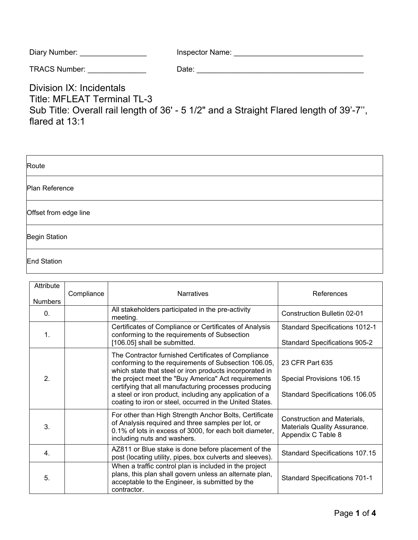| Diary Number: | Inspector Name: |
|---------------|-----------------|
|---------------|-----------------|

| <b>TRACS Number:</b> | ⊃ate: |  |
|----------------------|-------|--|
|                      |       |  |

Division IX: Incidentals Title: MFLEAT Terminal TL-3 Sub Title: Overall rail length of 36' - 5 1/2" and a Straight Flared length of 39'-7'', flared at 13:1

| Route                 |
|-----------------------|
| Plan Reference        |
| Offset from edge line |
| <b>Begin Station</b>  |
| End Station           |

| Attribute<br><b>Numbers</b> | Compliance | <b>Narratives</b>                                                                                                                                                                                                                                                                                                                                                                                             | References                                                                            |
|-----------------------------|------------|---------------------------------------------------------------------------------------------------------------------------------------------------------------------------------------------------------------------------------------------------------------------------------------------------------------------------------------------------------------------------------------------------------------|---------------------------------------------------------------------------------------|
| $\mathbf{0}$ .              |            | All stakeholders participated in the pre-activity<br>meeting.                                                                                                                                                                                                                                                                                                                                                 | Construction Bulletin 02-01                                                           |
| 1.                          |            | Certificates of Compliance or Certificates of Analysis<br>conforming to the requirements of Subsection<br>[106.05] shall be submitted.                                                                                                                                                                                                                                                                        | <b>Standard Specifications 1012-1</b><br><b>Standard Specifications 905-2</b>         |
| $\overline{2}$ .            |            | The Contractor furnished Certificates of Compliance<br>conforming to the requirements of Subsection 106.05,<br>which state that steel or iron products incorporated in<br>the project meet the "Buy America" Act requirements<br>certifying that all manufacturing processes producing<br>a steel or iron product, including any application of a<br>coating to iron or steel, occurred in the United States. | 23 CFR Part 635<br>Special Provisions 106.15<br><b>Standard Specifications 106.05</b> |
| 3.                          |            | For other than High Strength Anchor Bolts, Certificate<br>of Analysis required and three samples per lot, or<br>0.1% of lots in excess of 3000, for each bolt diameter,<br>including nuts and washers.                                                                                                                                                                                                        | Construction and Materials,<br>Materials Quality Assurance.<br>Appendix C Table 8     |
| 4.                          |            | AZ811 or Blue stake is done before placement of the<br>post (locating utility, pipes, box culverts and sleeves).                                                                                                                                                                                                                                                                                              | <b>Standard Specifications 107.15</b>                                                 |
| 5.                          |            | When a traffic control plan is included in the project<br>plans, this plan shall govern unless an alternate plan,<br>acceptable to the Engineer, is submitted by the<br>contractor.                                                                                                                                                                                                                           | <b>Standard Specifications 701-1</b>                                                  |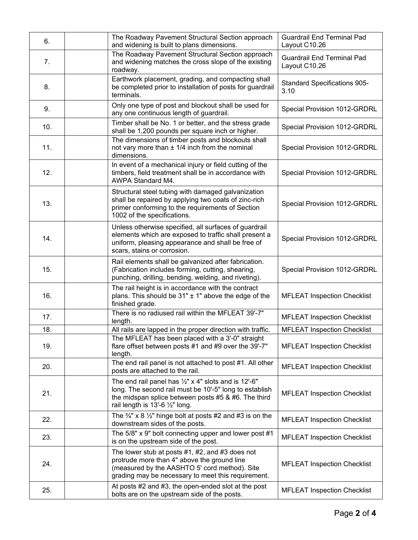| 6.  | The Roadway Pavement Structural Section approach<br>and widening is built to plans dimensions.                                                                                                                      | <b>Guardrail End Terminal Pad</b><br>Layout C10.26 |
|-----|---------------------------------------------------------------------------------------------------------------------------------------------------------------------------------------------------------------------|----------------------------------------------------|
| 7.  | The Roadway Pavement Structural Section approach<br>and widening matches the cross slope of the existing<br>roadway.                                                                                                | <b>Guardrail End Terminal Pad</b><br>Layout C10.26 |
| 8.  | Earthwork placement, grading, and compacting shall<br>be completed prior to installation of posts for guardrail<br>terminals.                                                                                       | <b>Standard Specifications 905-</b><br>3.10        |
| 9.  | Only one type of post and blockout shall be used for<br>any one continuous length of guardrail.                                                                                                                     | Special Provision 1012-GRDRL                       |
| 10. | Timber shall be No. 1 or better, and the stress grade<br>shall be 1,200 pounds per square inch or higher.                                                                                                           | Special Provision 1012-GRDRL                       |
| 11. | The dimensions of timber posts and blockouts shall<br>not vary more than $\pm$ 1/4 inch from the nominal<br>dimensions.                                                                                             | Special Provision 1012-GRDRL                       |
| 12. | In event of a mechanical injury or field cutting of the<br>timbers, field treatment shall be in accordance with<br>AWPA Standard M4.                                                                                | Special Provision 1012-GRDRL                       |
| 13. | Structural steel tubing with damaged galvanization<br>shall be repaired by applying two coats of zinc-rich<br>primer conforming to the requirements of Section<br>1002 of the specifications.                       | Special Provision 1012-GRDRL                       |
| 14. | Unless otherwise specified, all surfaces of guardrail<br>elements which are exposed to traffic shall present a<br>uniform, pleasing appearance and shall be free of<br>scars, stains or corrosion.                  | Special Provision 1012-GRDRL                       |
| 15. | Rail elements shall be galvanized after fabrication.<br>(Fabrication includes forming, cutting, shearing,<br>punching, drilling, bending, welding, and riveting).                                                   | Special Provision 1012-GRDRL                       |
| 16. | The rail height is in accordance with the contract<br>plans. This should be $31" \pm 1"$ above the edge of the<br>finished grade.                                                                                   | <b>MFLEAT Inspection Checklist</b>                 |
| 17. | There is no radiused rail within the MFLEAT 39'-7"<br>length.                                                                                                                                                       | <b>MFLEAT Inspection Checklist</b>                 |
| 18. | All rails are lapped in the proper direction with traffic.                                                                                                                                                          | <b>MFLEAT Inspection Checklist</b>                 |
| 19. | The MFLEAT has been placed with a 3'-0" straight<br>flare offset between posts #1 and #9 over the 39'-7"<br>length.                                                                                                 | <b>MFLEAT Inspection Checklist</b>                 |
| 20. | The end rail panel is not attached to post #1. All other<br>posts are attached to the rail.                                                                                                                         | <b>MFLEAT Inspection Checklist</b>                 |
| 21. | The end rail panel has $\frac{1}{2}$ " x 4" slots and is 12'-6"<br>long. The second rail must be 10'-5" long to establish<br>the midspan splice between posts #5 & #6. The third<br>rail length is 13'-6 1/2" long. | <b>MFLEAT Inspection Checklist</b>                 |
| 22. | The $\frac{3}{4}$ " x 8 $\frac{1}{2}$ " hinge bolt at posts #2 and #3 is on the<br>downstream sides of the posts.                                                                                                   | <b>MFLEAT Inspection Checklist</b>                 |
| 23. | The 5/8" x 9" bolt connecting upper and lower post #1<br>is on the upstream side of the post.                                                                                                                       | <b>MFLEAT Inspection Checklist</b>                 |
| 24. | The lower stub at posts $#1, #2,$ and $#3$ does not<br>protrude more than 4" above the ground line<br>(measured by the AASHTO 5' cord method). Site<br>grading may be necessary to meet this requirement.           | <b>MFLEAT Inspection Checklist</b>                 |
| 25. | At posts #2 and #3, the open-ended slot at the post<br>bolts are on the upstream side of the posts.                                                                                                                 | <b>MFLEAT Inspection Checklist</b>                 |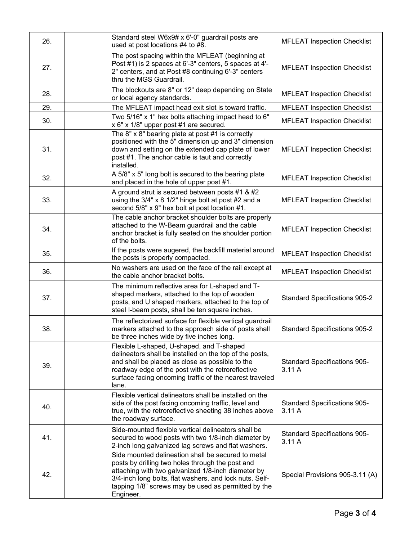| 26. | Standard steel W6x9# x 6'-0" guardrail posts are<br>used at post locations #4 to #8.                                                                                                                                                                                                        | <b>MFLEAT Inspection Checklist</b>           |
|-----|---------------------------------------------------------------------------------------------------------------------------------------------------------------------------------------------------------------------------------------------------------------------------------------------|----------------------------------------------|
| 27. | The post spacing within the MFLEAT (beginning at<br>Post #1) is 2 spaces at 6'-3" centers, 5 spaces at 4'-<br>2" centers, and at Post #8 continuing 6'-3" centers<br>thru the MGS Guardrail.                                                                                                | <b>MFLEAT Inspection Checklist</b>           |
| 28. | The blockouts are 8" or 12" deep depending on State<br>or local agency standards.                                                                                                                                                                                                           | <b>MFLEAT Inspection Checklist</b>           |
| 29. | The MFLEAT impact head exit slot is toward traffic.                                                                                                                                                                                                                                         | <b>MFLEAT Inspection Checklist</b>           |
| 30. | Two 5/16" x 1" hex bolts attaching impact head to 6"<br>x 6" x 1/8" upper post #1 are secured.                                                                                                                                                                                              | <b>MFLEAT Inspection Checklist</b>           |
| 31. | The $8" \times 8"$ bearing plate at post #1 is correctly<br>positioned with the 5" dimension up and 3" dimension<br>down and setting on the extended cap plate of lower<br>post #1. The anchor cable is taut and correctly<br>installed.                                                    | <b>MFLEAT Inspection Checklist</b>           |
| 32. | A 5/8" x 5" long bolt is secured to the bearing plate<br>and placed in the hole of upper post #1.                                                                                                                                                                                           | <b>MFLEAT Inspection Checklist</b>           |
| 33. | A ground strut is secured between posts #1 & #2<br>using the 3/4" x 8 1/2" hinge bolt at post #2 and a<br>second 5/8" x 9" hex bolt at post location #1.                                                                                                                                    | <b>MFLEAT Inspection Checklist</b>           |
| 34. | The cable anchor bracket shoulder bolts are properly<br>attached to the W-Beam guardrail and the cable<br>anchor bracket is fully seated on the shoulder portion<br>of the bolts.                                                                                                           | <b>MFLEAT Inspection Checklist</b>           |
| 35. | If the posts were augered, the backfill material around<br>the posts is properly compacted.                                                                                                                                                                                                 | <b>MFLEAT Inspection Checklist</b>           |
| 36. | No washers are used on the face of the rail except at<br>the cable anchor bracket bolts.                                                                                                                                                                                                    | <b>MFLEAT Inspection Checklist</b>           |
| 37. | The minimum reflective area for L-shaped and T-<br>shaped markers, attached to the top of wooden<br>posts, and U shaped markers, attached to the top of<br>steel I-beam posts, shall be ten square inches.                                                                                  | <b>Standard Specifications 905-2</b>         |
| 38. | The reflectorized surface for flexible vertical guardrail<br>markers attached to the approach side of posts shall<br>be three inches wide by five inches long.                                                                                                                              | <b>Standard Specifications 905-2</b>         |
| 39. | Flexible L-shaped, U-shaped, and T-shaped<br>delineators shall be installed on the top of the posts,<br>and shall be placed as close as possible to the<br>roadway edge of the post with the retroreflective<br>surface facing oncoming traffic of the nearest traveled<br>lane.            | <b>Standard Specifications 905-</b><br>3.11A |
| 40. | Flexible vertical delineators shall be installed on the<br>side of the post facing oncoming traffic, level and<br>true, with the retroreflective sheeting 38 inches above<br>the roadway surface.                                                                                           | <b>Standard Specifications 905-</b><br>3.11A |
| 41. | Side-mounted flexible vertical delineators shall be<br>secured to wood posts with two 1/8-inch diameter by<br>2-inch long galvanized lag screws and flat washers.                                                                                                                           | <b>Standard Specifications 905-</b><br>3.11A |
| 42. | Side mounted delineation shall be secured to metal<br>posts by drilling two holes through the post and<br>attaching with two galvanized 1/8-inch diameter by<br>3/4-inch long bolts, flat washers, and lock nuts. Self-<br>tapping 1/8" screws may be used as permitted by the<br>Engineer. | Special Provisions 905-3.11 (A)              |